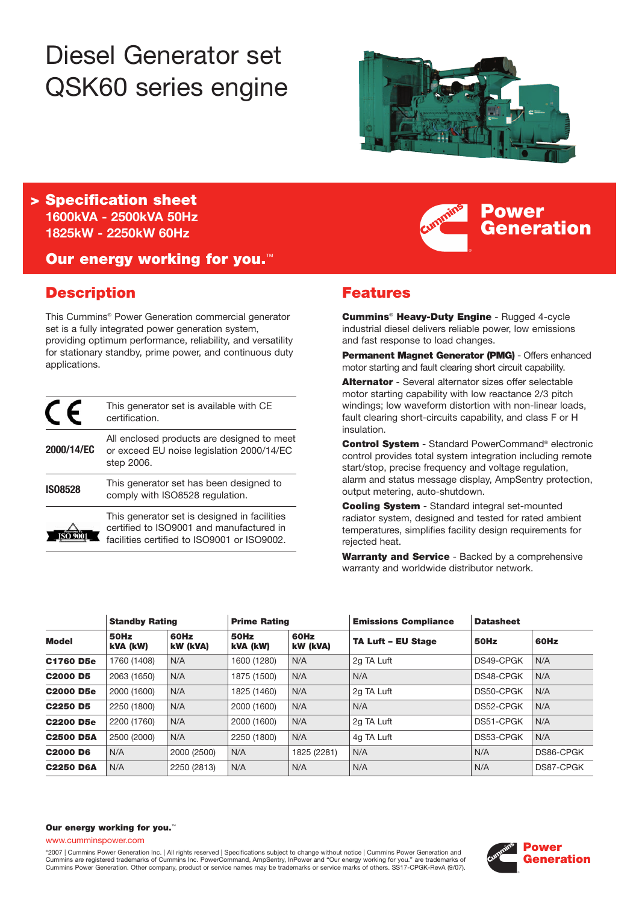# Diesel Generator set QSK60 series engine



**Power**

**Generation**

# **> Specification sheet 1600kVA - 2500kVA 50Hz 1825kW - 2250kW 60Hz**

**Our energy working for you.**™

# **Description**

This Cummins® Power Generation commercial generator set is a fully integrated power generation system, providing optimum performance, reliability, and versatility for stationary standby, prime power, and continuous duty applications.

|                | This generator set is available with CE<br>certification.                                                                               |
|----------------|-----------------------------------------------------------------------------------------------------------------------------------------|
| 2000/14/EC     | All enclosed products are designed to meet<br>or exceed EU noise legislation 2000/14/EC<br>step 2006.                                   |
| <b>IS08528</b> | This generator set has been designed to<br>comply with ISO8528 regulation.                                                              |
|                | This generator set is designed in facilities<br>certified to ISO9001 and manufactured in<br>facilities certified to ISO9001 or ISO9002. |

# **Features**

**Cummins**® **Heavy-Duty Engine** - Rugged 4-cycle industrial diesel delivers reliable power, low emissions and fast response to load changes.

**Permanent Magnet Generator (PMG)** - Offers enhanced motor starting and fault clearing short circuit capability.

**Alternator** - Several alternator sizes offer selectable motor starting capability with low reactance 2/3 pitch windings; low waveform distortion with non-linear loads, fault clearing short-circuits capability, and class F or H insulation.

**Control System** - Standard PowerCommand® electronic control provides total system integration including remote start/stop, precise frequency and voltage regulation. alarm and status message display, AmpSentry protection, output metering, auto-shutdown.

**Cooling System** - Standard integral set-mounted radiator system, designed and tested for rated ambient temperatures, simplifies facility design requirements for rejected heat.

**Warranty and Service** - Backed by a comprehensive warranty and worldwide distributor network.

| <b>Model</b>     | <b>Standby Rating</b> |                  | <b>Prime Rating</b> |                  | <b>Emissions Compliance</b> | <b>Datasheet</b> |           |
|------------------|-----------------------|------------------|---------------------|------------------|-----------------------------|------------------|-----------|
|                  | 50Hz<br>kVA (kW)      | 60Hz<br>kW (kVA) | 50Hz<br>kVA (kW)    | 60Hz<br>kW (kVA) | <b>TA Luft - EU Stage</b>   | 50Hz             | 60Hz      |
| C1760 D5e        | 1760 (1408)           | N/A              | 1600 (1280)         | N/A              | 2g TA Luft                  | DS49-CPGK        | N/A       |
| <b>C2000 D5</b>  | 2063 (1650)           | N/A              | 1875 (1500)         | N/A              | N/A                         | DS48-CPGK        | N/A       |
| <b>C2000 D5e</b> | 2000 (1600)           | N/A              | 1825 (1460)         | N/A              | 2g TA Luft                  | DS50-CPGK        | N/A       |
| C2250 D5         | 2250 (1800)           | N/A              | 2000 (1600)         | N/A              | N/A                         | DS52-CPGK        | N/A       |
| <b>C2200 D5e</b> | 2200 (1760)           | N/A              | 2000 (1600)         | N/A              | 2g TA Luft                  | DS51-CPGK        | N/A       |
| <b>C2500 D5A</b> | 2500 (2000)           | N/A              | 2250 (1800)         | N/A              | 4g TA Luft                  | DS53-CPGK        | N/A       |
| C2000 D6         | N/A                   | 2000 (2500)      | N/A                 | 1825 (2281)      | N/A                         | N/A              | DS86-CPGK |
| <b>C2250 D6A</b> | N/A                   | 2250 (2813)      | N/A                 | N/A              | N/A                         | N/A              | DS87-CPGK |

#### **Our energy working for you.**™

www.cumminspower.com

©2007 | Cummins Power Generation Inc. | All rights reserved | Specifications subject to change without notice | Cummins Power Generation and Cummins are registered trademarks of Cummins Inc. PowerCommand, AmpSentry, InPower and "Our energy working for you." are trademarks of Cummins Power Generation. Other company, product or service names may be trademarks or service marks of others. SS17-CPGK-RevA (9/07).

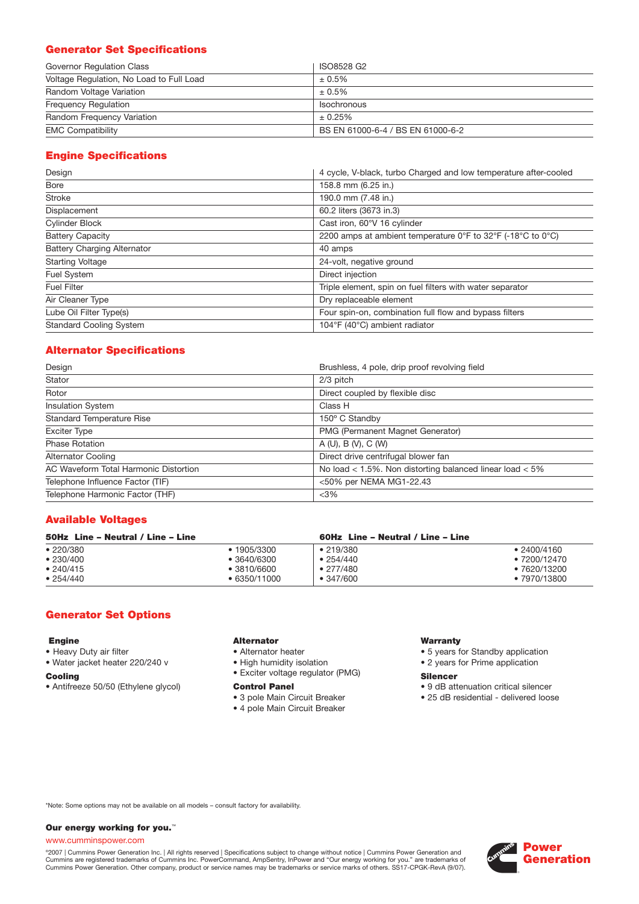# **Generator Set Specifications**

| Governor Regulation Class                | ISO8528 G2                        |
|------------------------------------------|-----------------------------------|
| Voltage Regulation, No Load to Full Load | $± 0.5\%$                         |
| Random Voltage Variation                 | $± 0.5\%$                         |
| <b>Frequency Requiation</b>              | Isochronous                       |
| Random Frequency Variation               | ± 0.25%                           |
| <b>EMC Compatibility</b>                 | BS EN 61000-6-4 / BS EN 61000-6-2 |

# **Engine Specifications**

| Design                             | 4 cycle, V-black, turbo Charged and low temperature after-cooled      |
|------------------------------------|-----------------------------------------------------------------------|
| Bore                               | 158.8 mm (6.25 in.)                                                   |
| <b>Stroke</b>                      | 190.0 mm (7.48 in.)                                                   |
| Displacement                       | 60.2 liters (3673 in.3)                                               |
| <b>Cylinder Block</b>              | Cast iron, 60°V 16 cylinder                                           |
| <b>Battery Capacity</b>            | 2200 amps at ambient temperature $0^{\circ}$ F to 32°F (-18°C to 0°C) |
| <b>Battery Charging Alternator</b> | 40 amps                                                               |
| <b>Starting Voltage</b>            | 24-volt, negative ground                                              |
| Fuel System                        | Direct injection                                                      |
| <b>Fuel Filter</b>                 | Triple element, spin on fuel filters with water separator             |
| Air Cleaner Type                   | Dry replaceable element                                               |
| Lube Oil Filter Type(s)            | Four spin-on, combination full flow and bypass filters                |
| <b>Standard Cooling System</b>     | 104°F (40°C) ambient radiator                                         |

# **Alternator Specifications**

| Design                                | Brushless, 4 pole, drip proof revolving field                |
|---------------------------------------|--------------------------------------------------------------|
| Stator                                | 2/3 pitch                                                    |
| Rotor                                 | Direct coupled by flexible disc                              |
| Insulation System                     | Class H                                                      |
| <b>Standard Temperature Rise</b>      | 150° C Standby                                               |
| <b>Exciter Type</b>                   | PMG (Permanent Magnet Generator)                             |
| <b>Phase Rotation</b>                 | A(U), B(V), C(W)                                             |
| <b>Alternator Cooling</b>             | Direct drive centrifugal blower fan                          |
| AC Waveform Total Harmonic Distortion | No load $<$ 1.5%. Non distorting balanced linear load $<$ 5% |
| Telephone Influence Factor (TIF)      | <50% per NEMA MG1-22.43                                      |
| Telephone Harmonic Factor (THF)       | $<$ 3%                                                       |

# **Available Voltages**

| 50Hz Line - Neutral / Line - Line |                   | 60Hz Line - Neutral / Line - Line |  |  |
|-----------------------------------|-------------------|-----------------------------------|--|--|
| $\bullet$ 1905/3300               | $\bullet$ 219/380 | $\bullet$ 2400/4160               |  |  |
| $\bullet$ 3640/6300               | $\bullet$ 254/440 | $\bullet$ 7200/12470              |  |  |
| $\bullet$ 3810/6600               | $\bullet$ 277/480 | $\bullet$ 7620/13200              |  |  |
| $\bullet$ 6350/11000              | $\bullet$ 347/600 | $\bullet$ 7970/13800              |  |  |
|                                   |                   |                                   |  |  |

# **Generator Set Options**

#### **Engine**

- Heavy Duty air filter
- Water jacket heater 220/240 v

## **Cooling**

• Antifreeze 50/50 (Ethylene glycol)

# **Alternator**

- Alternator heater
- High humidity isolation
- Exciter voltage regulator (PMG)

# **Control Panel**

- 3 pole Main Circuit Breaker
- 4 pole Main Circuit Breaker

#### **Warranty**

- 5 years for Standby application
- 2 years for Prime application

#### **Silencer**

- 9 dB attenuation critical silencer
- 25 dB residential delivered loose

\*Note: Some options may not be available on all models – consult factory for availability.

#### **Our energy working for you.**™

#### www.cumminspower.com

°2007 | Cummins Power Generation Inc. | All rights reserved | Specifications subject to change without notice | Cummins Power Generation and<br>Cummins are registered trademarks of Cummins Inc. PowerCommand, AmpSentry, InPow

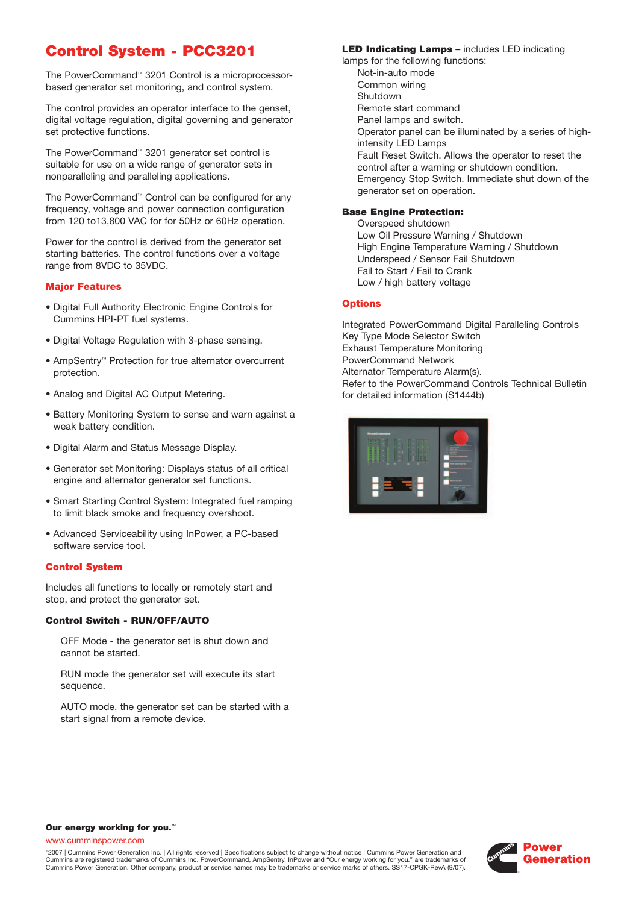# **Control System - PCC3201**

The PowerCommand™ 3201 Control is a microprocessorbased generator set monitoring, and control system.

The control provides an operator interface to the genset, digital voltage regulation, digital governing and generator set protective functions.

The PowerCommand™ 3201 generator set control is suitable for use on a wide range of generator sets in nonparalleling and paralleling applications.

The PowerCommand™ Control can be configured for any frequency, voltage and power connection configuration from 120 to13,800 VAC for for 50Hz or 60Hz operation.

Power for the control is derived from the generator set starting batteries. The control functions over a voltage range from 8VDC to 35VDC.

#### **Major Features**

- Digital Full Authority Electronic Engine Controls for Cummins HPI-PT fuel systems.
- Digital Voltage Regulation with 3-phase sensing.
- AmpSentry™ Protection for true alternator overcurrent protection.
- Analog and Digital AC Output Metering.
- Battery Monitoring System to sense and warn against a weak battery condition.
- Digital Alarm and Status Message Display.
- Generator set Monitoring: Displays status of all critical engine and alternator generator set functions.
- Smart Starting Control System: Integrated fuel ramping to limit black smoke and frequency overshoot.
- Advanced Serviceability using InPower, a PC-based software service tool.

#### **Control System**

Includes all functions to locally or remotely start and stop, and protect the generator set.

#### **Control Switch - RUN/OFF/AUTO**

OFF Mode - the generator set is shut down and cannot be started.

RUN mode the generator set will execute its start sequence.

AUTO mode, the generator set can be started with a start signal from a remote device.

### **LED Indicating Lamps** – includes LED indicating

lamps for the following functions: Not-in-auto mode Common wiring Shutdown Remote start command Panel lamps and switch. Operator panel can be illuminated by a series of highintensity LED Lamps Fault Reset Switch. Allows the operator to reset the control after a warning or shutdown condition. Emergency Stop Switch. Immediate shut down of the generator set on operation.

# **Base Engine Protection:**

Overspeed shutdown Low Oil Pressure Warning / Shutdown High Engine Temperature Warning / Shutdown Underspeed / Sensor Fail Shutdown Fail to Start / Fail to Crank Low / high battery voltage

# **Options**

Integrated PowerCommand Digital Paralleling Controls Key Type Mode Selector Switch Exhaust Temperature Monitoring PowerCommand Network Alternator Temperature Alarm(s). Refer to the PowerCommand Controls Technical Bulletin for detailed information (S1444b)



#### **Our energy working for you.**™

www.cumminspower.com

©2007 | Cummins Power Generation Inc. | All rights reserved | Specifications subject to change without notice | Cummins Power Generation and Cummins are registered trademarks of Cummins Inc. PowerCommand, AmpSentry, InPower and "Our energy working for you." are trademarks of Cummins Power Generation. Other company, product or service names may be trademarks or service marks of others. SS17-CPGK-RevA (9/07).